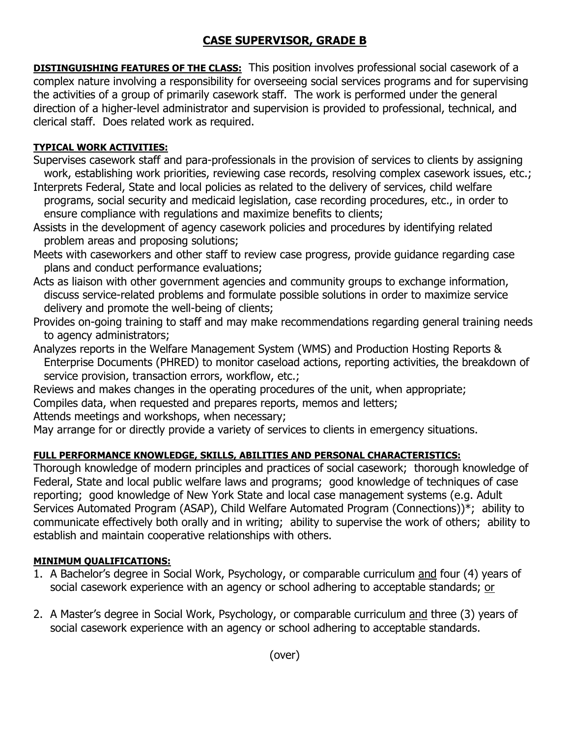## **CASE SUPERVISOR, GRADE B**

**DISTINGUISHING FEATURES OF THE CLASS:** This position involves professional social casework of a complex nature involving a responsibility for overseeing social services programs and for supervising the activities of a group of primarily casework staff. The work is performed under the general direction of a higher-level administrator and supervision is provided to professional, technical, and clerical staff. Does related work as required.

## **TYPICAL WORK ACTIVITIES:**

- Supervises casework staff and para-professionals in the provision of services to clients by assigning work, establishing work priorities, reviewing case records, resolving complex casework issues, etc.;
- Interprets Federal, State and local policies as related to the delivery of services, child welfare programs, social security and medicaid legislation, case recording procedures, etc., in order to ensure compliance with regulations and maximize benefits to clients;
- Assists in the development of agency casework policies and procedures by identifying related problem areas and proposing solutions;
- Meets with caseworkers and other staff to review case progress, provide guidance regarding case plans and conduct performance evaluations;
- Acts as liaison with other government agencies and community groups to exchange information, discuss service-related problems and formulate possible solutions in order to maximize service delivery and promote the well-being of clients;
- Provides on-going training to staff and may make recommendations regarding general training needs to agency administrators;
- Analyzes reports in the Welfare Management System (WMS) and Production Hosting Reports & Enterprise Documents (PHRED) to monitor caseload actions, reporting activities, the breakdown of service provision, transaction errors, workflow, etc.;
- Reviews and makes changes in the operating procedures of the unit, when appropriate;
- Compiles data, when requested and prepares reports, memos and letters;
- Attends meetings and workshops, when necessary;
- May arrange for or directly provide a variety of services to clients in emergency situations.

## **FULL PERFORMANCE KNOWLEDGE, SKILLS, ABILITIES AND PERSONAL CHARACTERISTICS:**

Thorough knowledge of modern principles and practices of social casework; thorough knowledge of Federal, State and local public welfare laws and programs; good knowledge of techniques of case reporting; good knowledge of New York State and local case management systems (e.g. Adult Services Automated Program (ASAP), Child Welfare Automated Program (Connections))\*; ability to communicate effectively both orally and in writing; ability to supervise the work of others; ability to establish and maintain cooperative relationships with others.

## **MINIMUM QUALIFICATIONS:**

- 1. A Bachelor's degree in Social Work, Psychology, or comparable curriculum and four (4) years of social casework experience with an agency or school adhering to acceptable standards; or
- 2. A Master's degree in Social Work, Psychology, or comparable curriculum and three (3) years of social casework experience with an agency or school adhering to acceptable standards.